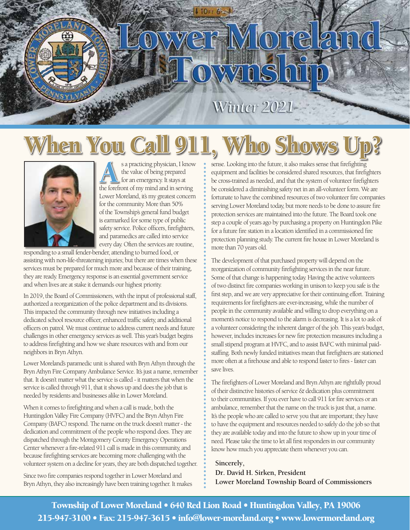## $\bigcirc$ 121 Ó

### Winter 2021

## When You Call 911, Who Shows Up?



s a practicing physician, I know<br>the value of being prepared<br>the forefront of my mind and in serving the value of being prepared for an emergency. It stays at Lower Moreland, it's my greatest concern for the community. More than 50% of the Township's general fund budget is earmarked for some type of public safety service. Police officers, firefighters, and paramedics are called into service every day. Often the services are routine,

responding to a small fender-bender, attending to burned food, or assisting with non-life-threatening injuries; but there are times when these services must be prepared for much more and because of their training, they are ready. Emergency response is an essential government service and when lives are at stake it demands our highest priority.

In 2019, the Board of Commissioners, with the input of professional staff, authorized a reorganization of the police department and its divisions. This impacted the community through new initiatives including a dedicated school resource officer, enhanced traffic safety, and additional officers on patrol. We must continue to address current needs and future challenges in other emergency services as well. This year's budget begins to address firefighting and how we share resources with and from our neighbors in Bryn Athyn.

Lower Moreland's paramedic unit is shared with Bryn Athyn through the Bryn Athyn Fire Company Ambulance Service. It's just a name, remember that. It doesn't matter what the service is called - it matters that when the service is called through 911, that it shows up and does the job that is needed by residents and businesses alike in Lower Moreland.

When it comes to firefighting and when a call is made, both the Huntingdon Valley Fire Company (HVFC) and the Bryn Athyn Fire Company (BAFC) respond. The name on the truck doesn't matter - the dedication and commitment of the people who respond does. They are dispatched through the Montgomery County Emergency Operations Center whenever a fire-related 911 call is made in this community, and because firefighting services are becoming more challenging with the volunteer system on a decline for years, they are both dispatched together.

Since two fire companies respond together in Lower Moreland and Bryn Athyn, they also increasingly have been training together. It makes sense. Looking into the future, it also makes sense that firefighting equipment and facilities be considered shared resources, that firefighters be cross-trained as needed, and that the system of volunteer firefighters be considered a diminishing safety net in an all-volunteer form. We are fortunate to have the combined resources of two volunteer fire companies serving Lower Moreland today, but more needs to be done to assure fire protection services are maintained into the future. The Board took one step a couple of years ago by purchasing a property on Huntingdon Pike for a future fire station in a location identified in a commissioned fire protection planning study. The current fire house in Lower Moreland is more than 70 years old.

The development of that purchased property will depend on the reorganization of community firefighting services in the near future. Some of that change is happening today. Having the active volunteers of two distinct fire companies working in unison to keep you safe is the first step, and we are very appreciative for their continuing effort. Training requirements for firefighters are ever-increasing, while the number of people in the community available and willing to drop everything on a moment's notice to respond to the alarm is decreasing. It is a lot to ask of a volunteer considering the inherent danger of the job. This year's budget, however, includes increases for new fire protection measures including a small stipend program at HVFC, and to assist BAFC with minimal paidstaffing. Both newly funded initiatives mean that firefighters are stationed more often at a firehouse and able to respond faster to fires - faster can save lives.

The firefighters of Lower Moreland and Bryn Athyn are rightfully proud of their distinctive histories of service & dedication plus commitment to their communities. If you ever have to call 911 for fire services or an ambulance, remember that the name on the truck is just that, a name. It's the people who are called to serve you that are important; they have to have the equipment and resources needed to safely do the job so that they are available today and into the future to show up in your time of need. Please take the time to let all first responders in our community know how much you appreciate them whenever you can.

**Sincerely, Dr. David H. Sirken, President Lower Moreland Township Board of Commissioners**

Township of Lower Moreland • 640 Red Lion Road • Huntingdon Valley, PA 19006 215-947-3100 • Fax: 215-947-3615 • [info@lower-moreland.org](mailto:info@lowermoreland.org) • [www.lowermoreland.org](http://www.lowermoreland.org)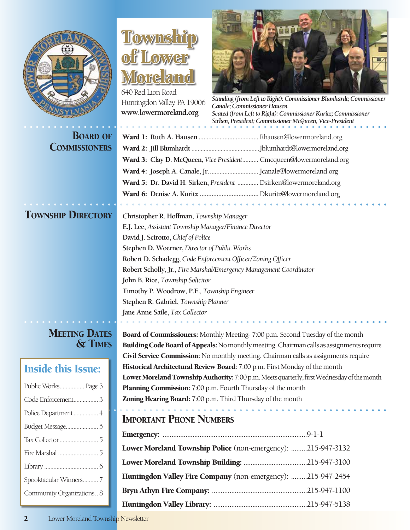

COMMISSIONERS

| <b>MEETING DATES</b> |         |
|----------------------|---------|
|                      | & TIMES |

### Inside this Issue:

| Public WorksPage 3        |
|---------------------------|
| Code Enforcement 3        |
| Police Department 4       |
| Budget Message 5          |
|                           |
|                           |
|                           |
| Spooktacular Winners7     |
| Community Organizations 8 |

### Townshi of Lower Moreland

640 Red Lion Road Huntingdon Valley, PA 19006 **[www.lowermoreland.org](http://www.lowermoreland.org)**



*Standing (from Left to Right): Commissioner Blumhardt; Commissioner Canale; Commissioner Hausen Seated (from Left to Right): Commissioner Kuritz; Commissioner Sirken, President; Commissioner McQueen, Vice-President*

| <b>COMMISSIONERS</b> |                                                                    |
|----------------------|--------------------------------------------------------------------|
|                      | Ward 3: Clay D. McQueen, Vice President Cmcqueen@lowermoreland.org |
|                      |                                                                    |
|                      | Ward 5: Dr. David H. Sirken, President  Dsirken@lowermoreland.org  |
|                      |                                                                    |

Township Directory **Christopher R. Hoffman,** *Township Manager* **E.J. Lee,** *Assistant Township Manager/Finance Director* **David J. Scirotto,** *Chief of Police* **Stephen D. Woerner,** *Director of Public Works* **Robert D. Schadegg,** *Code Enforcement Officer/Zoning Officer* **Robert Scholly, Jr.,** *Fire Marshal/Emergency Management Coordinator* **John B. Rice,** *Township Solicitor* **Timothy P. Woodrow, P.E.***, Township Engineer* **Stephen R. Gabriel,** *Township Planner* **Jane Anne Saile,** *Tax Collector*

> Board of Commissioners: Monthly Meeting- 7:00 p.m. Second Tuesday of the month Building Code Board of Appeals: No monthly meeting. Chairman calls as assignments require Civil Service Commission: No monthly meeting. Chairman calls as assignments require Historical Architectural Review Board: 7:00 p.m. First Monday of the month Lower Moreland Township Authority: 7:00 p.m. Meets quarterly, first Wednesday of the month Planning Commission: 7:00 p.m. Fourth Thursday of the month Zoning Hearing Board: 7:00 p.m. Third Thursday of the month

#### Important Phone Numbers

| Lower Moreland Township Police (non-emergency): 215-947-3132 |  |
|--------------------------------------------------------------|--|
|                                                              |  |
| Huntingdon Valley Fire Company (non-emergency): 215-947-2454 |  |
|                                                              |  |
|                                                              |  |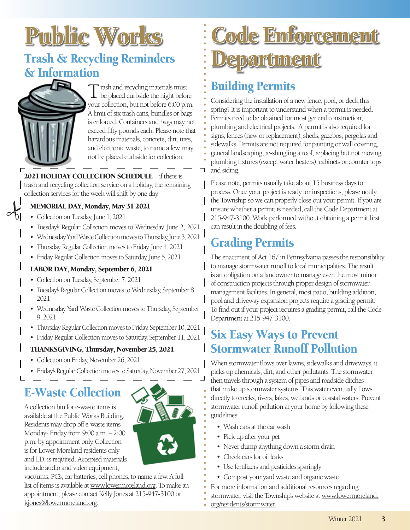# Public Works

### Trash & Recycling Reminders & Information



 $\sim$ 

Trash and recycling materials must be placed curbside the night before your collection, but not before 6:00 p.m. A limit of six trash cans, bundles or bags is enforced. Containers and bags may not exceed fifty pounds each. Please note that hazardous materials, concrete, dirt, tires, and electronic waste, to name a few, may not be placed curbside for collection.

2021 HOLIDAY COLLECTION SCHEDULE – if there is trash and recycling collection service on a holiday, the remaining collection services for the week will shift by one day.

#### MEMORIAL DAY, Monday, May 31 2021

- Collection on Tuesday, June 1, 2021
- Tuesday's Regular Collection moves to Wednesday, June 2, 2021
- Wednesday Yard Waste Collection moves to Thursday, June 3, 2021
- Thursday Regular Collection moves to Friday, June 4, 2021
- Friday Regular Collection moves to Saturday, June 5, 2021

#### LABOR DAY, Monday, September 6, 2021

- Collection on Tuesday, September 7, 2021
- Tuesday's Regular Collection moves to Wednesday, September 8, 2021
- Wednesday Yard Waste Collection moves to Thursday, September 9, 2021
- Thursday Regular Collection moves to Friday, September 10, 2021
- Friday Regular Collection moves to Saturday, September 11, 2021

#### THANKSGIVING, Thursday, November 25, 2021

- Collection on Friday, November 26, 2021
- Friday's Regular Collection moves to Saturday, November 27, 2021

### E-Waste Collection

A collection bin for e-waste items is available at the Public Works Building. Residents may drop off e-waste items Monday- Friday from 9:00 a.m. – 2:00 p.m. by appointment only. Collection is for Lower Moreland residents only and I.D. is required. Accepted materials include audio and video equipment,



vacuums, PC's, car batteries, cell phones, to name a few. A full list of items is available at [www.lowermoreland.org](http://lowermorelandpa.hosted.civiclive.com/departments/public_works/trash_recycling). To make an appointment, please contact Kelly Jones at 215-947-3100 or [kjones@lowermoreland.org](mailto:kjones@lowermoreland.org).

## Code Enforcement Department

### Building Permits

Considering the installation of a new fence, pool, or deck this spring? It is important to understand when a permit is needed. Permits need to be obtained for most general construction, plumbing and electrical projects. A permit is also required for signs, fences (new or replacement), sheds, gazebos, pergolas and sidewalks. Permits are not required for painting or wall covering, general landscaping, re-shingling a roof, replacing but not moving plumbing fixtures (except water heaters), cabinets or counter tops and siding.

Please note, permits usually take about 15 business days to process. Once your project is ready for inspections, please notify the Township so we can properly close out your permit. If you are unsure whether a permit is needed, call the Code Department at 215-947-3100. Work performed without obtaining a permit first can result in the doubling of fees.

### Grading Permits

The enactment of Act 167 in Pennsylvania passes the responsibility to manage stormwater runoff to local municipalities. The result is an obligation on a landowner to manage even the most minor of construction projects through proper design of stormwater management facilities. In general, most patio, building addition, pool and driveway expansion projects require a grading permit. To find out if your project requires a grading permit, call the Code Department at 215-947-3100.

### Six Easy Ways to Prevent Stormwater Runoff Pollution

When stormwater flows over lawns, sidewalks and driveways, it picks up chemicals, dirt, and other pollutants. The stormwater then travels through a system of pipes and roadside ditches that make up stormwater systems. This water eventually flows directly to creeks, rivers, lakes, wetlands or coastal waters. Prevent stormwater runoff pollution at your home by following these guidelines:

- Wash cars at the car wash
- Pick up after your pet
- Never dump anything down a storm drain
- Check cars for oil leaks
- Use fertilizers and pesticides sparingly
- Compost your yard waste and organic waste
- For more information and additional resources regarding
- stormwater, visit the Township's website a[t www.lowermoreland.](https://www.lowermoreland.org)
- [org/residents/stormwater.](https://www.lowermoreland.org)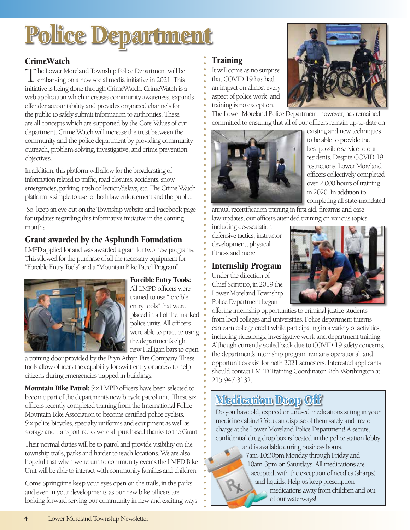## Police Department

#### **CrimeWatch**

The Lower Moreland Township Police Department will be embarking on a new social media initiative in 2021. This initiative is being done through CrimeWatch. CrimeWatch is a web application which increases community awareness, expands offender accountability and provides organized channels for the public to safely submit information to authorities. These are all concepts which are supported by the Core Values of our department. Crime Watch will increase the trust between the community and the police department by providing community outreach, problem-solving, investigative, and crime prevention objectives.

In addition, this platform will allow for the broadcasting of information related to traffic, road closures, accidents, snow emergencies, parking, trash collection/delays, etc. The Crime Watch platform is simple to use for both law enforcement and the public.

 So, keep an eye out on the Township website and Facebook page for updates regarding this informative initiative in the coming months.

#### Grant awarded by the Asplundh Foundation

LMPD applied for and was awarded a grant for two new programs. This allowed for the purchase of all the necessary equipment for "Forcible Entry Tools" and a "Mountain Bike Patrol Program".



#### Forcible Entry Tools:

All LMPD officers were trained to use "forcible entry tools" that were placed in all of the marked police units. All officers were able to practice using the department's eight new Halligan bars to open

a training door provided by the Bryn Athyn Fire Company. These tools allow officers the capability for swift entry or access to help citizens during emergencies trapped in buildings.

Mountain Bike Patrol: Six LMPD officers have been selected to become part of the department's new bicycle patrol unit. These six officers recently completed training from the International Police Mountain Bike Association to become certified police cyclists. Six police bicycles, specialty uniforms and equipment as well as storage and transport racks were all purchased thanks to the Grant.

Their normal duties will be to patrol and provide visibility on the township trails, parks and harder to reach locations. We are also hopeful that when we return to community events the LMPD Bike Unit will be able to interact with community families and children.

Come Springtime keep your eyes open on the trails, in the parks and even in your developments as our new bike officers are looking forward serving our community in new and exciting ways!

#### Training

It will come as no surprise that COVID-19 has had an impact on almost every aspect of police work, and training is no exception.



The Lower Moreland Police Department, however, has remained committed to ensuring that all of our officers remain up-to-date on



existing and new techniques to be able to provide the best possible service to our residents. Despite COVID-19 restrictions, Lower Moreland officers collectively completed over 2,000 hours of training in 2020. In addition to completing all state-mandated

annual recertification training in first aid, firearms and case law updates, our officers attended training on various topics

including de-escalation, defensive tactics, instructor development, physical fitness and more.

#### Internship Program

Under the direction of Chief Scirrotto, in 2019 the Lower Moreland Township Police Department began



offering internship opportunities to criminal justice students from local colleges and universities. Police department interns can earn college credit while participating in a variety of activities, including ridealongs, investigative work and department training. Although currently scaled back due to COVID-19 safety concerns, the department's internship program remains operational, and opportunities exist for both 2021 semesters. Interested applicants should contact LMPD Training Coordinator Rich Worthington at 215-947-3132.

### Medication Drop Off

Do you have old, expired or unused medications sitting in your medicine cabinet? You can dispose of them safely and free of charge at the Lower Moreland Police Department! A secure, confidential drug drop box is located in the police station lobby and is available during business hours,



7am-10:30pm Monday through Friday and 10am-3pm on Saturdays. All medications are accepted, with the exception of needles (sharps) and liquids. Help us keep prescription medications away from children and out of our waterways!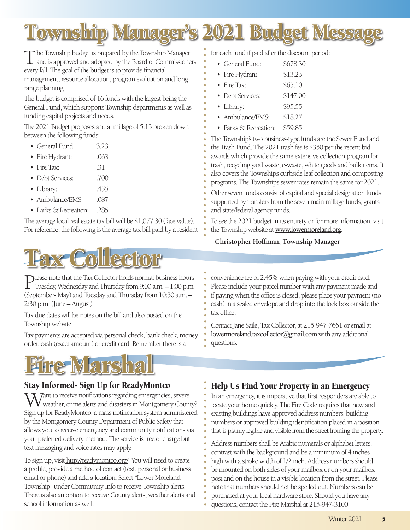

The Township budget is prepared by the Township Manager and is approved and adopted by the Board of Commissioners every fall. The goal of the budget is to provide financial management, resource allocation, program evaluation and longrange planning.

The budget is comprised of 16 funds with the largest being the General Fund, which supports Township departments as well as funding capital projects and needs.

The 2021 Budget proposes a total millage of 5.13 broken down between the following funds:

- General Fund: 3.23
- Fire Hydrant: .063
- Fire Tax: .31
- Debt Services: .700
- Library: .455
- Ambulance/EMS: 087
- Parks & Recreation: .285

The average local real estate tax bill will be \$1,077.30 (face value). For reference, the following is the average tax bill paid by a resident



Please note that the Tax Collector holds normal business hours Tuesday, Wednesday and Thursday from 9:00 a.m. – 1:00 p.m. (September- May) and Tuesday and Thursday from 10:30 a.m. – 2:30 p.m. (June – August)

Tax due dates will be notes on the bill and also posted on the Township website.

Tax payments are accepted via personal check, bank check, money order, cash (exact amount) or credit card. Remember there is a

## Fire Marshal

#### Stay Informed- Sign Up for ReadyMontco

**7** ant to receive notifications regarding emergencies, severe weather, crime alerts and disasters in Montgomery County? Sign up for ReadyMontco, a mass notification system administered by the Montgomery County Department of Public Safety that allows you to receive emergency and community notifications via your preferred delivery method. The service is free of charge but text messaging and voice rates may apply.

To sign up, visit [http://readymontco.org/.](https://member.everbridge.net/453003085612338/login) You will need to create a profile, provide a method of contact (text, personal or business email or phone) and add a location. Select "Lower Moreland Township" under Community Info to receive Township alerts. There is also an option to receive County alerts, weather alerts and school information as well.

for each fund if paid after the discount period:

- General Fund: \$678.30
- Fire Hydrant: \$13.23
- Fire Tax:  $$65.10$
- Debt Services: \$147.00
- Library: \$95.55
- Ambulance/EMS: \$18.27
- Parks & Recreation: \$59.85

The Township's two business-type funds are the Sewer Fund and the Trash Fund. The 2021 trash fee is \$350 per the recent bid awards which provide the same extensive collection program for trash, recycling yard waste, e-waste, white goods and bulk items. It also covers the Township's curbside leaf collection and composting programs. The Township's sewer rates remain the same for 2021.

Other seven funds consist of capital and special designation funds supported by transfers from the seven main millage funds, grants and state/federal agency funds.

To see the 2021 budget in its entirety or for more information, visit the Township website at [www.lowermoreland.org](https://www.lowermoreland.org/).

**Christopher Hoffman, Township Manager**

convenience fee of 2.45% when paying with your credit card. Please include your parcel number with any payment made and if paying when the office is closed, please place your payment (no cash) in a sealed envelope and drop into the lock box outside the tax office.

Contact Jane Saile, Tax Collector, at 215-947-7661 or email at [lowermoreland.taxcollector@gmail.com](mailto:lowermoreland.taxcollector%40gmail.com?subject=) with any additional questions.

#### Help Us Find Your Property in an Emergency

In an emergency, it is imperative that first responders are able to locate your home quickly. The Fire Code requires that new and existing buildings have approved address numbers, building numbers or approved building identification placed in a position that is plainly legible and visible from the street fronting the property.

Address numbers shall be Arabic numerals or alphabet letters, contrast with the background and be a minimum of 4 inches high with a stroke width of 1/2 inch. Address numbers should be mounted on both sides of your mailbox or on your mailbox post and on the house in a visible location from the street. Please note that numbers should not be spelled out. Numbers can be purchased at your local hardware store. Should you have any questions, contact the Fire Marshal at 215-947-3100.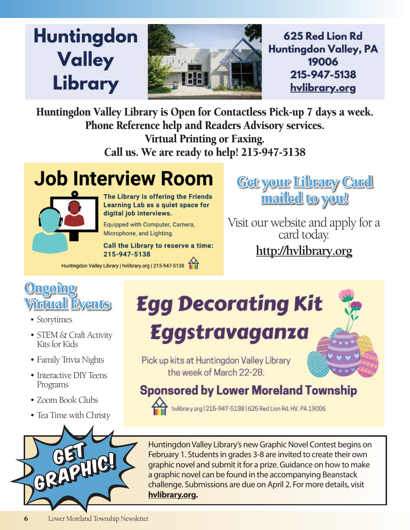## **Huntingdon Valley** Library



625 Red Lion Rd **Huntingdon Valley, PA** 19006 215-947-5138 hvlibrary.org

Huntingdon Valley Library is Open for Contactless Pick-up 7 days a week. Phone Reference help and Readers Advisory services. Virtual Printing or Faxing.

Call us. We are ready to help! 215-947-5138

## **Job Interview Room**



The Library is offering the Friends Learning Lab as a quiet space for digital job interviews.

Equipped with Computer, Camera, Microphone, and Lighting.

**Call the Library to reserve a time:** 215-947-5138

Huntingdon Valley Library | hvlibrary.org | 215-947-5138

**Get your Library Card Get your Library Card** 

Visit our website and apply for a<br>card today. **<http://hvlibrary.org>**



- Storytimes
- STEM & Craft Activity Kits for Kids
- Family Trivia Nights
- Interactive DIY Teens Programs
- Zoom Book Clubs
- Tea Time with Christy



## **Egg Decorating Kit**

## **Eggstravaganza**



Pick up kits at Huntingdon Valley Library the week of March 22-28.

### **Sponsored by Lower Moreland Township**

hvlibrary.org | 215-947-5138 | 625 Red Lion Rd, HV, PA 19006

Huntingdon Valley Library's new Graphic Novel Contest begins on February 1. Students in grades 3-8 are invited to create their own graphic novel and submit it for a prize. Guidance on how to make a graphic novel can be found in the accompanying Beanstack challenge. Submissions are due on April 2. For more details, visit **[hvlibrary.org](http://hvlibrary.org).**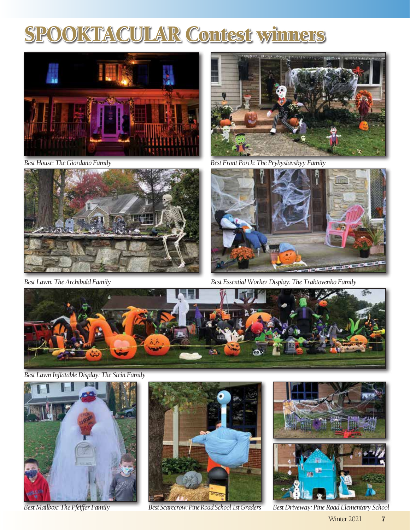### SPOOKTACULAR Contest winners



*Best House: The Giordano Family*



*Best Lawn: The Archibald Family*



*Best Front Porch: The Prybyslavskyy Family*



*Best Essential Worker Display: The Traktovenko Family*



*Best Lawn Inflatable Display: The Stein Family*



*Best Mailbox: The Pfeiffer Family*





*Best Scarecrow: Pine Road School 1st Graders Best Driveway: Pine Road Elementary School*